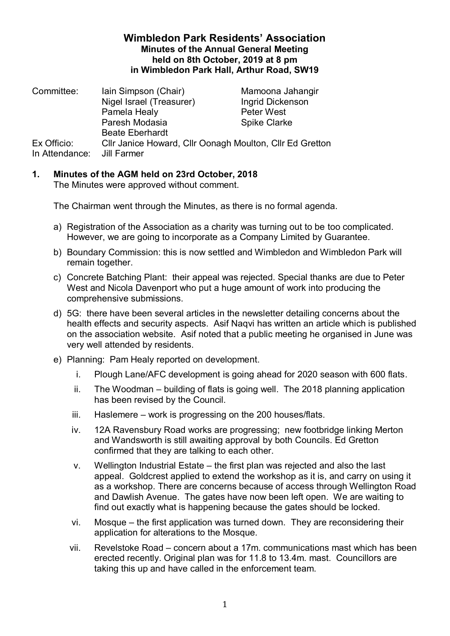## **Wimbledon Park Residents' Association Minutes of the Annual General Meeting held on 8th October, 2019 at 8 pm in Wimbledon Park Hall, Arthur Road, SW19**

| Iain Simpson (Chair)                                                    | Mamoona Jahangir    |
|-------------------------------------------------------------------------|---------------------|
| Nigel Israel (Treasurer)                                                | Ingrid Dickenson    |
| Pamela Healy                                                            | <b>Peter West</b>   |
| Paresh Modasia                                                          | <b>Spike Clarke</b> |
| <b>Beate Eberhardt</b>                                                  |                     |
| Cllr Janice Howard, Cllr Oonagh Moulton, Cllr Ed Gretton<br>Jill Farmer |                     |
|                                                                         |                     |

## **1. Minutes of the AGM held on 23rd October, 2018**

The Minutes were approved without comment.

The Chairman went through the Minutes, as there is no formal agenda.

- a) Registration of the Association as a charity was turning out to be too complicated. However, we are going to incorporate as a Company Limited by Guarantee.
- b) Boundary Commission: this is now settled and Wimbledon and Wimbledon Park will remain together.
- c) Concrete Batching Plant: their appeal was rejected. Special thanks are due to Peter West and Nicola Davenport who put a huge amount of work into producing the comprehensive submissions.
- d) 5G: there have been several articles in the newsletter detailing concerns about the health effects and security aspects. Asif Naqvi has written an article which is published on the association website. Asif noted that a public meeting he organised in June was very well attended by residents.
- e) Planning: Pam Healy reported on development.
	- i. Plough Lane/AFC development is going ahead for 2020 season with 600 flats.
	- ii. The Woodman building of flats is going well. The 2018 planning application has been revised by the Council.
	- iii. Haslemere work is progressing on the 200 houses/flats.
	- iv. 12A Ravensbury Road works are progressing; new footbridge linking Merton and Wandsworth is still awaiting approval by both Councils. Ed Gretton confirmed that they are talking to each other.
	- v. Wellington Industrial Estate the first plan was rejected and also the last appeal. Goldcrest applied to extend the workshop as it is, and carry on using it as a workshop. There are concerns because of access through Wellington Road and Dawlish Avenue. The gates have now been left open. We are waiting to find out exactly what is happening because the gates should be locked.
	- vi. Mosque the first application was turned down. They are reconsidering their application for alterations to the Mosque.
	- vii. Revelstoke Road concern about a 17m. communications mast which has been erected recently. Original plan was for 11.8 to 13.4m. mast. Councillors are taking this up and have called in the enforcement team.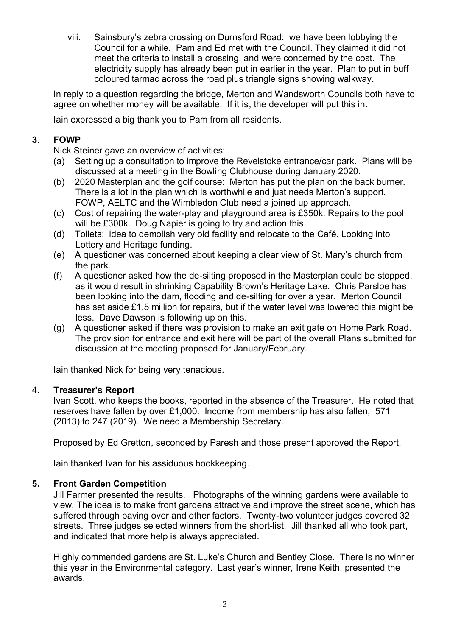viii. Sainsbury's zebra crossing on Durnsford Road: we have been lobbying the Council for a while. Pam and Ed met with the Council. They claimed it did not meet the criteria to install a crossing, and were concerned by the cost. The electricity supply has already been put in earlier in the year. Plan to put in buff coloured tarmac across the road plus triangle signs showing walkway.

In reply to a question regarding the bridge, Merton and Wandsworth Councils both have to agree on whether money will be available. If it is, the developer will put this in.

Iain expressed a big thank you to Pam from all residents.

# **3. FOWP**

Nick Steiner gave an overview of activities:

- (a) Setting up a consultation to improve the Revelstoke entrance/car park. Plans will be discussed at a meeting in the Bowling Clubhouse during January 2020.
- (b) 2020 Masterplan and the golf course: Merton has put the plan on the back burner. There is a lot in the plan which is worthwhile and just needs Merton's support. FOWP, AELTC and the Wimbledon Club need a joined up approach.
- (c) Cost of repairing the water-play and playground area is £350k. Repairs to the pool will be £300k. Doug Napier is going to try and action this.
- (d) Toilets: idea to demolish very old facility and relocate to the Café. Looking into Lottery and Heritage funding.
- (e) A questioner was concerned about keeping a clear view of St. Mary's church from the park.
- (f) A questioner asked how the de-silting proposed in the Masterplan could be stopped, as it would result in shrinking Capability Brown's Heritage Lake. Chris Parsloe has been looking into the dam, flooding and de-silting for over a year. Merton Council has set aside £1.5 million for repairs, but if the water level was lowered this might be less. Dave Dawson is following up on this.
- (g) A questioner asked if there was provision to make an exit gate on Home Park Road. The provision for entrance and exit here will be part of the overall Plans submitted for discussion at the meeting proposed for January/February.

Iain thanked Nick for being very tenacious.

#### 4. **Treasurer's Report**

Ivan Scott, who keeps the books, reported in the absence of the Treasurer. He noted that reserves have fallen by over £1,000. Income from membership has also fallen; 571 (2013) to 247 (2019). We need a Membership Secretary.

Proposed by Ed Gretton, seconded by Paresh and those present approved the Report.

Iain thanked Ivan for his assiduous bookkeeping.

#### **5. Front Garden Competition**

Jill Farmer presented the results. Photographs of the winning gardens were available to view. The idea is to make front gardens attractive and improve the street scene, which has suffered through paving over and other factors. Twenty-two volunteer judges covered 32 streets. Three judges selected winners from the short-list. Jill thanked all who took part, and indicated that more help is always appreciated.

Highly commended gardens are St. Luke's Church and Bentley Close. There is no winner this year in the Environmental category. Last year's winner, Irene Keith, presented the awards.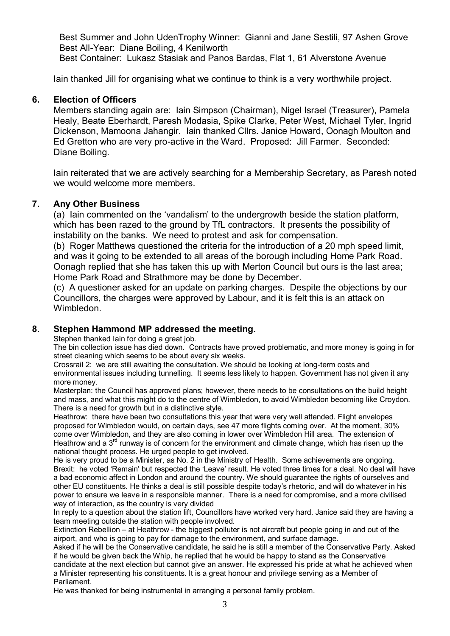Best Summer and John UdenTrophy Winner: Gianni and Jane Sestili, 97 Ashen Grove Best All-Year: Diane Boiling, 4 Kenilworth

Best Container: Lukasz Stasiak and Panos Bardas, Flat 1, 61 Alverstone Avenue

Iain thanked Jill for organising what we continue to think is a very worthwhile project.

## **6. Election of Officers**

Members standing again are: Iain Simpson (Chairman), Nigel Israel (Treasurer), Pamela Healy, Beate Eberhardt, Paresh Modasia, Spike Clarke, Peter West, Michael Tyler, Ingrid Dickenson, Mamoona Jahangir. Iain thanked Cllrs. Janice Howard, Oonagh Moulton and Ed Gretton who are very pro-active in the Ward. Proposed: Jill Farmer. Seconded: Diane Boiling.

Iain reiterated that we are actively searching for a Membership Secretary, as Paresh noted we would welcome more members.

#### **7. Any Other Business**

(a) Iain commented on the 'vandalism' to the undergrowth beside the station platform, which has been razed to the ground by TfL contractors. It presents the possibility of instability on the banks. We need to protest and ask for compensation.

(b) Roger Matthews questioned the criteria for the introduction of a 20 mph speed limit, and was it going to be extended to all areas of the borough including Home Park Road. Oonagh replied that she has taken this up with Merton Council but ours is the last area; Home Park Road and Strathmore may be done by December.

(c) A questioner asked for an update on parking charges. Despite the objections by our Councillors, the charges were approved by Labour, and it is felt this is an attack on Wimbledon.

#### **8. Stephen Hammond MP addressed the meeting.**

Stephen thanked Iain for doing a great job.

The bin collection issue has died down. Contracts have proved problematic, and more money is going in for street cleaning which seems to be about every six weeks.

Crossrail 2: we are still awaiting the consultation. We should be looking at long-term costs and environmental issues including tunnelling. It seems less likely to happen. Government has not given it any more money.

Masterplan: the Council has approved plans; however, there needs to be consultations on the build height and mass, and what this might do to the centre of Wimbledon, to avoid Wimbledon becoming like Croydon. There is a need for growth but in a distinctive style.

Heathrow: there have been two consultations this year that were very well attended. Flight envelopes proposed for Wimbledon would, on certain days, see 47 more flights coming over. At the moment, 30% come over Wimbledon, and they are also coming in lower over Wimbledon Hill area. The extension of Heathrow and a  $3<sup>rd</sup>$  runway is of concern for the environment and climate change, which has risen up the national thought process. He urged people to get involved.

He is very proud to be a Minister, as No. 2 in the Ministry of Health. Some achievements are ongoing. Brexit: he voted 'Remain' but respected the 'Leave' result. He voted three times for a deal. No deal will have a bad economic affect in London and around the country. We should guarantee the rights of ourselves and other EU constituents. He thinks a deal is still possible despite today's rhetoric, and will do whatever in his power to ensure we leave in a responsible manner. There is a need for compromise, and a more civilised way of interaction, as the country is very divided

In reply to a question about the station lift, Councillors have worked very hard. Janice said they are having a team meeting outside the station with people involved.

Extinction Rebellion – at Heathrow - the biggest polluter is not aircraft but people going in and out of the airport, and who is going to pay for damage to the environment, and surface damage.

Asked if he will be the Conservative candidate, he said he is still a member of the Conservative Party. Asked if he would be given back the Whip, he replied that he would be happy to stand as the Conservative candidate at the next election but cannot give an answer. He expressed his pride at what he achieved when a Minister representing his constituents. It is a great honour and privilege serving as a Member of Parliament.

He was thanked for being instrumental in arranging a personal family problem.